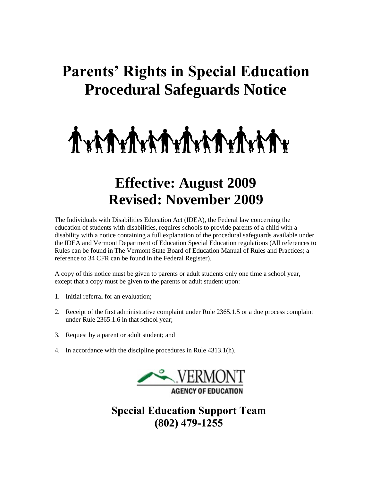# **Parents' Rights in Special Education Procedural Safeguards Notice**



# **Effective: August 2009 Revised: November 2009**

The Individuals with Disabilities Education Act (IDEA), the Federal law concerning the education of students with disabilities, requires schools to provide parents of a child with a disability with a notice containing a full explanation of the procedural safeguards available under the IDEA and Vermont Department of Education Special Education regulations (All references to Rules can be found in The Vermont State Board of Education Manual of Rules and Practices; a reference to 34 CFR can be found in the Federal Register).

A copy of this notice must be given to parents or adult students only one time a school year, except that a copy must be given to the parents or adult student upon:

- 1. Initial referral for an evaluation;
- 2. Receipt of the first administrative complaint under Rule 2365.1.5 or a due process complaint under Rule 2365.1.6 in that school year;
- 3. Request by a parent or adult student; and
- 4. In accordance with the discipline procedures in Rule 4313.1(h).



**Special Education Support Team (802) 479-1255**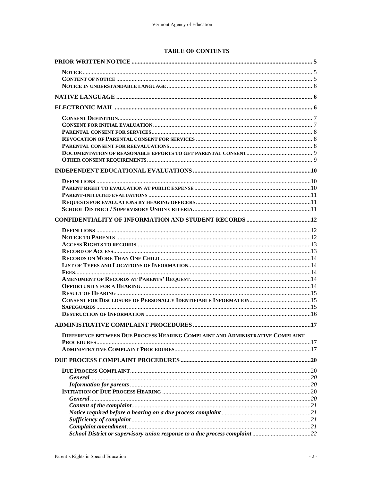#### **TABLE OF CONTENTS**

| DIFFERENCE BETWEEN DUE PROCESS HEARING COMPLAINT AND ADMINISTRATIVE COMPLAINT |  |
|-------------------------------------------------------------------------------|--|
|                                                                               |  |
|                                                                               |  |
|                                                                               |  |
|                                                                               |  |
|                                                                               |  |
|                                                                               |  |
|                                                                               |  |
|                                                                               |  |
|                                                                               |  |
|                                                                               |  |
|                                                                               |  |
|                                                                               |  |
|                                                                               |  |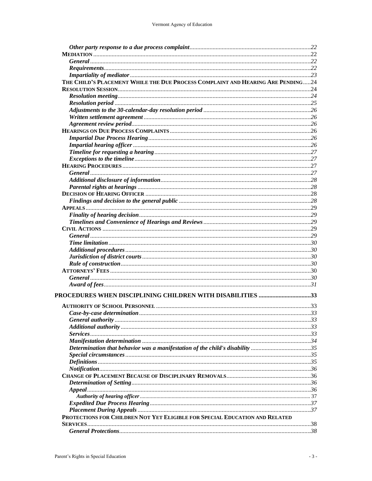| THE CHILD'S PLACEMENT WHILE THE DUE PROCESS COMPLAINT AND HEARING ARE PENDING24 |  |
|---------------------------------------------------------------------------------|--|
|                                                                                 |  |
|                                                                                 |  |
|                                                                                 |  |
|                                                                                 |  |
|                                                                                 |  |
|                                                                                 |  |
|                                                                                 |  |
|                                                                                 |  |
|                                                                                 |  |
|                                                                                 |  |
|                                                                                 |  |
|                                                                                 |  |
|                                                                                 |  |
|                                                                                 |  |
|                                                                                 |  |
|                                                                                 |  |
|                                                                                 |  |
|                                                                                 |  |
|                                                                                 |  |
|                                                                                 |  |
|                                                                                 |  |
|                                                                                 |  |
|                                                                                 |  |
|                                                                                 |  |
|                                                                                 |  |
|                                                                                 |  |
|                                                                                 |  |
|                                                                                 |  |
|                                                                                 |  |
| PROCEDURES WHEN DISCIPLINING CHILDREN WITH DISABILITIES 33                      |  |
|                                                                                 |  |
|                                                                                 |  |
|                                                                                 |  |
|                                                                                 |  |
|                                                                                 |  |
|                                                                                 |  |
| Determination that behavior was a manifestation of the child's disability 35    |  |
|                                                                                 |  |
|                                                                                 |  |
|                                                                                 |  |
|                                                                                 |  |
|                                                                                 |  |
|                                                                                 |  |
|                                                                                 |  |
|                                                                                 |  |
|                                                                                 |  |
| PROTECTIONS FOR CHILDREN NOT YET ELIGIBLE FOR SPECIAL EDUCATION AND RELATED     |  |
|                                                                                 |  |
|                                                                                 |  |
|                                                                                 |  |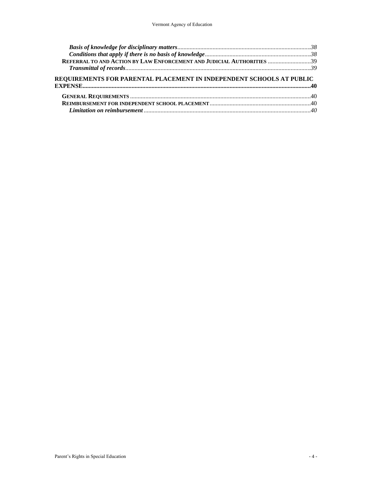| REFERRAL TO AND ACTION BY LAW ENFORCEMENT AND JUDICIAL AUTHORITIES 39 |  |
|-----------------------------------------------------------------------|--|
|                                                                       |  |
| REQUIREMENTS FOR PARENTAL PLACEMENT IN INDEPENDENT SCHOOLS AT PUBLIC  |  |
|                                                                       |  |
|                                                                       |  |
|                                                                       |  |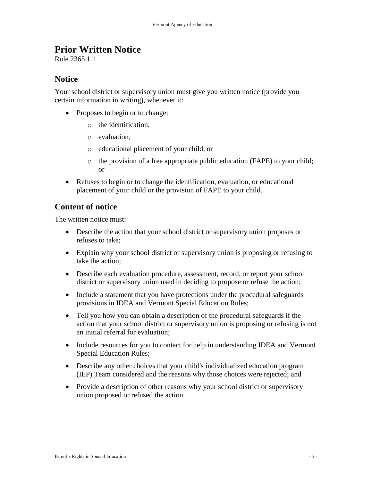### <span id="page-4-0"></span>**Prior Written Notice**

Rule 2365.1.1

### <span id="page-4-1"></span>**Notice**

Your school district or supervisory union must give you written notice (provide you certain information in writing), whenever it:

- Proposes to begin or to change:
	- o the identification,
	- o evaluation,
	- o educational placement of your child, or
	- o the provision of a free appropriate public education (FAPE) to your child; or
- Refuses to begin or to change the identification, evaluation, or educational placement of your child or the provision of FAPE to your child.

### <span id="page-4-2"></span>**Content of notice**

The written notice must:

- Describe the action that your school district or supervisory union proposes or refuses to take;
- Explain why your school district or supervisory union is proposing or refusing to take the action;
- Describe each evaluation procedure, assessment, record, or report your school district or supervisory union used in deciding to propose or refuse the action;
- Include a statement that you have protections under the procedural safeguards provisions in IDEA and Vermont Special Education Rules;
- Tell you how you can obtain a description of the procedural safeguards if the action that your school district or supervisory union is proposing or refusing is not an initial referral for evaluation;
- Include resources for you to contact for help in understanding IDEA and Vermont Special Education Rules;
- Describe any other choices that your child's individualized education program (IEP) Team considered and the reasons why those choices were rejected; and
- Provide a description of other reasons why your school district or supervisory union proposed or refused the action.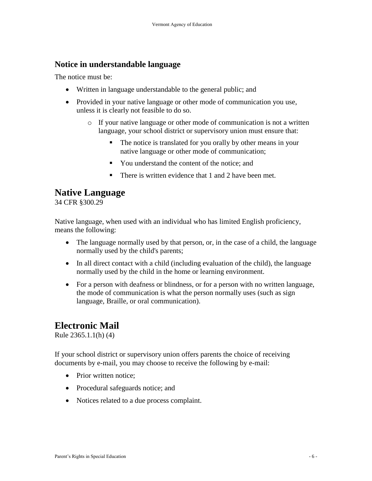### <span id="page-5-0"></span>**Notice in understandable language**

The notice must be:

- Written in language understandable to the general public; and
- Provided in your native language or other mode of communication you use, unless it is clearly not feasible to do so.
	- o If your native language or other mode of communication is not a written language, your school district or supervisory union must ensure that:
		- The notice is translated for you orally by other means in your native language or other mode of communication;
		- You understand the content of the notice; and
		- There is written evidence that 1 and 2 have been met.

### <span id="page-5-1"></span>**Native Language**

34 CFR §300.29

Native language, when used with an individual who has limited English proficiency, means the following:

- The language normally used by that person, or, in the case of a child, the language normally used by the child's parents;
- In all direct contact with a child (including evaluation of the child), the language normally used by the child in the home or learning environment.
- For a person with deafness or blindness, or for a person with no written language, the mode of communication is what the person normally uses (such as sign language, Braille, or oral communication).

### <span id="page-5-2"></span>**Electronic Mail**

Rule 2365.1.1(h) (4)

If your school district or supervisory union offers parents the choice of receiving documents by e-mail, you may choose to receive the following by e-mail:

- Prior written notice;
- Procedural safeguards notice; and
- Notices related to a due process complaint.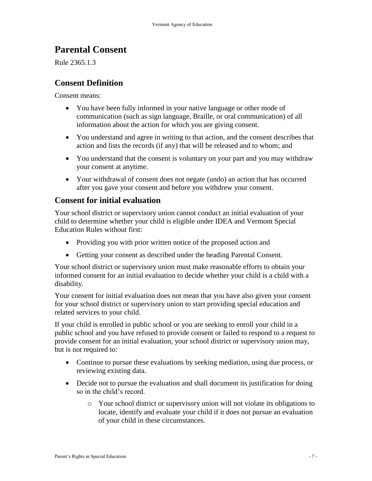# **Parental Consent**

Rule 2365.1.3

### <span id="page-6-0"></span>**Consent Definition**

Consent means:

- You have been fully informed in your native language or other mode of communication (such as sign language, Braille, or oral communication) of all information about the action for which you are giving consent.
- You understand and agree in writing to that action, and the consent describes that action and lists the records (if any) that will be released and to whom; and
- You understand that the consent is voluntary on your part and you may withdraw your consent at anytime.
- Your withdrawal of consent does not negate (undo) an action that has occurred after you gave your consent and before you withdrew your consent.

### <span id="page-6-1"></span>**Consent for initial evaluation**

Your school district or supervisory union cannot conduct an initial evaluation of your child to determine whether your child is eligible under IDEA and Vermont Special Education Rules without first:

- Providing you with prior written notice of the proposed action and
- Getting your consent as described under the heading Parental Consent.

Your school district or supervisory union must make reasonable efforts to obtain your informed consent for an initial evaluation to decide whether your child is a child with a disability.

Your consent for initial evaluation does not mean that you have also given your consent for your school district or supervisory union to start providing special education and related services to your child.

If your child is enrolled in public school or you are seeking to enroll your child in a public school and you have refused to provide consent or failed to respond to a request to provide consent for an initial evaluation, your school district or supervisory union may, but is not required to:

- Continue to pursue these evaluations by seeking mediation, using due process, or reviewing existing data.
- Decide not to pursue the evaluation and shall document its justification for doing so in the child's record.
	- o Your school district or supervisory union will not violate its obligations to locate, identify and evaluate your child if it does not pursue an evaluation of your child in these circumstances.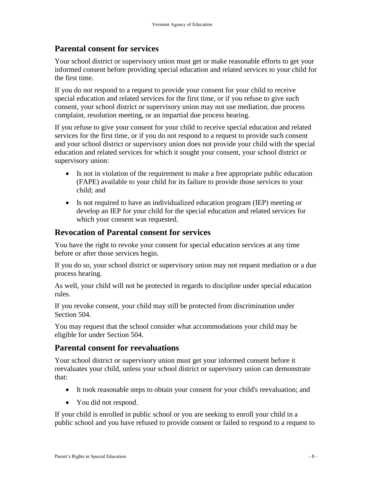#### <span id="page-7-0"></span>**Parental consent for services**

Your school district or supervisory union must get or make reasonable efforts to get your informed consent before providing special education and related services to your child for the first time.

If you do not respond to a request to provide your consent for your child to receive special education and related services for the first time, or if you refuse to give such consent, your school district or supervisory union may not use mediation, due process complaint, resolution meeting, or an impartial due process hearing.

If you refuse to give your consent for your child to receive special education and related services for the first time, or if you do not respond to a request to provide such consent and your school district or supervisory union does not provide your child with the special education and related services for which it sought your consent, your school district or supervisory union:

- Is not in violation of the requirement to make a free appropriate public education (FAPE) available to your child for its failure to provide those services to your child; and
- Is not required to have an individualized education program (IEP) meeting or develop an IEP for your child for the special education and related services for which your consent was requested.

#### <span id="page-7-1"></span>**Revocation of Parental consent for services**

You have the right to revoke your consent for special education services at any time before or after those services begin.

If you do so, your school district or supervisory union may not request mediation or a due process hearing.

As well, your child will not be protected in regards to discipline under special education rules.

If you revoke consent, your child may still be protected from discrimination under Section 504.

You may request that the school consider what accommodations your child may be eligible for under Section 504.

#### <span id="page-7-2"></span>**Parental consent for reevaluations**

Your school district or supervisory union must get your informed consent before it reevaluates your child, unless your school district or supervisory union can demonstrate that:

- It took reasonable steps to obtain your consent for your child's reevaluation; and
- You did not respond.

If your child is enrolled in public school or you are seeking to enroll your child in a public school and you have refused to provide consent or failed to respond to a request to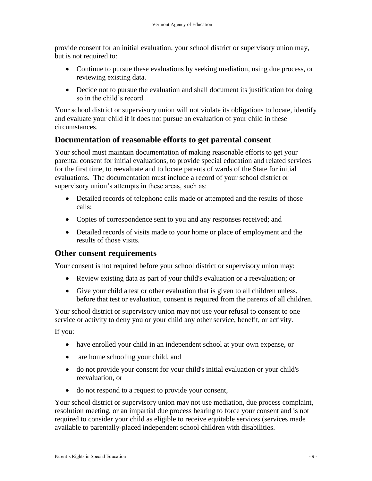provide consent for an initial evaluation, your school district or supervisory union may, but is not required to:

- Continue to pursue these evaluations by seeking mediation, using due process, or reviewing existing data.
- Decide not to pursue the evaluation and shall document its justification for doing so in the child's record.

Your school district or supervisory union will not violate its obligations to locate, identify and evaluate your child if it does not pursue an evaluation of your child in these circumstances.

### <span id="page-8-0"></span>**Documentation of reasonable efforts to get parental consent**

Your school must maintain documentation of making reasonable efforts to get your parental consent for initial evaluations, to provide special education and related services for the first time, to reevaluate and to locate parents of wards of the State for initial evaluations. The documentation must include a record of your school district or supervisory union's attempts in these areas, such as:

- Detailed records of telephone calls made or attempted and the results of those calls;
- Copies of correspondence sent to you and any responses received; and
- Detailed records of visits made to your home or place of employment and the results of those visits.

### <span id="page-8-1"></span>**Other consent requirements**

Your consent is not required before your school district or supervisory union may:

- Review existing data as part of your child's evaluation or a reevaluation; or
- Give your child a test or other evaluation that is given to all children unless, before that test or evaluation, consent is required from the parents of all children.

Your school district or supervisory union may not use your refusal to consent to one service or activity to deny you or your child any other service, benefit, or activity.

If you:

- have enrolled your child in an independent school at your own expense, or
- are home schooling your child, and
- do not provide your consent for your child's initial evaluation or your child's reevaluation, or
- do not respond to a request to provide your consent,

Your school district or supervisory union may not use mediation, due process complaint, resolution meeting, or an impartial due process hearing to force your consent and is not required to consider your child as eligible to receive equitable services (services made available to parentally-placed independent school children with disabilities.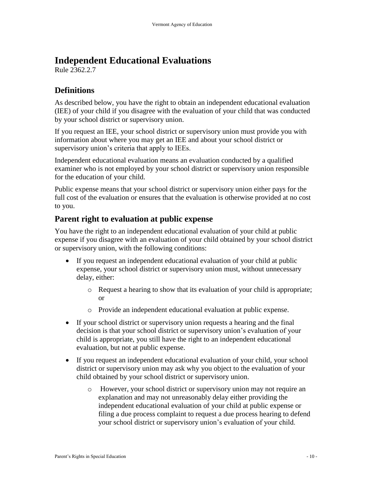## <span id="page-9-0"></span>**Independent Educational Evaluations**

Rule 2362.2.7

### <span id="page-9-1"></span>**Definitions**

As described below, you have the right to obtain an independent educational evaluation (IEE) of your child if you disagree with the evaluation of your child that was conducted by your school district or supervisory union.

If you request an IEE, your school district or supervisory union must provide you with information about where you may get an IEE and about your school district or supervisory union's criteria that apply to IEEs.

Independent educational evaluation means an evaluation conducted by a qualified examiner who is not employed by your school district or supervisory union responsible for the education of your child.

Public expense means that your school district or supervisory union either pays for the full cost of the evaluation or ensures that the evaluation is otherwise provided at no cost to you.

### <span id="page-9-2"></span>**Parent right to evaluation at public expense**

You have the right to an independent educational evaluation of your child at public expense if you disagree with an evaluation of your child obtained by your school district or supervisory union, with the following conditions:

- If you request an independent educational evaluation of your child at public expense, your school district or supervisory union must, without unnecessary delay, either:
	- o Request a hearing to show that its evaluation of your child is appropriate; or
	- o Provide an independent educational evaluation at public expense.
- If your school district or supervisory union requests a hearing and the final decision is that your school district or supervisory union's evaluation of your child is appropriate, you still have the right to an independent educational evaluation, but not at public expense.
- If you request an independent educational evaluation of your child, your school district or supervisory union may ask why you object to the evaluation of your child obtained by your school district or supervisory union.
	- o However, your school district or supervisory union may not require an explanation and may not unreasonably delay either providing the independent educational evaluation of your child at public expense or filing a due process complaint to request a due process hearing to defend your school district or supervisory union's evaluation of your child.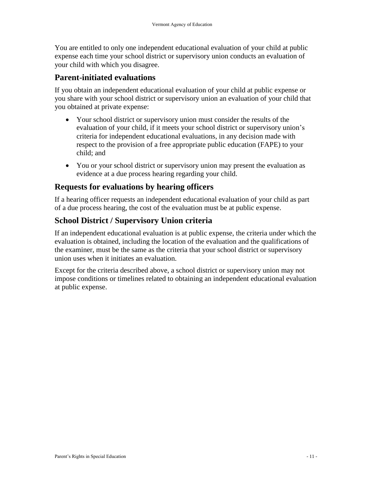You are entitled to only one independent educational evaluation of your child at public expense each time your school district or supervisory union conducts an evaluation of your child with which you disagree.

### <span id="page-10-0"></span>**Parent-initiated evaluations**

If you obtain an independent educational evaluation of your child at public expense or you share with your school district or supervisory union an evaluation of your child that you obtained at private expense:

- Your school district or supervisory union must consider the results of the evaluation of your child, if it meets your school district or supervisory union's criteria for independent educational evaluations, in any decision made with respect to the provision of a free appropriate public education (FAPE) to your child; and
- You or your school district or supervisory union may present the evaluation as evidence at a due process hearing regarding your child.

### <span id="page-10-1"></span>**Requests for evaluations by hearing officers**

If a hearing officer requests an independent educational evaluation of your child as part of a due process hearing, the cost of the evaluation must be at public expense.

### <span id="page-10-2"></span>**School District / Supervisory Union criteria**

If an independent educational evaluation is at public expense, the criteria under which the evaluation is obtained, including the location of the evaluation and the qualifications of the examiner, must be the same as the criteria that your school district or supervisory union uses when it initiates an evaluation.

Except for the criteria described above, a school district or supervisory union may not impose conditions or timelines related to obtaining an independent educational evaluation at public expense.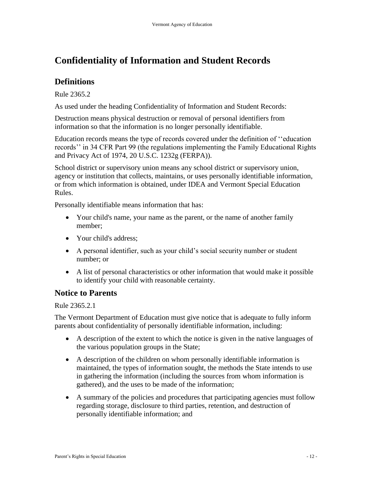# <span id="page-11-0"></span>**Confidentiality of Information and Student Records**

### <span id="page-11-1"></span>**Definitions**

Rule 2365.2

As used under the heading Confidentiality of Information and Student Records:

Destruction means physical destruction or removal of personal identifiers from information so that the information is no longer personally identifiable.

Education records means the type of records covered under the definition of ''education records'' in 34 CFR Part 99 (the regulations implementing the Family Educational Rights and Privacy Act of 1974, 20 U.S.C. 1232g (FERPA)).

School district or supervisory union means any school district or supervisory union, agency or institution that collects, maintains, or uses personally identifiable information, or from which information is obtained, under IDEA and Vermont Special Education Rules.

Personally identifiable means information that has:

- Your child's name, your name as the parent, or the name of another family member;
- Your child's address;
- A personal identifier, such as your child's social security number or student number; or
- A list of personal characteristics or other information that would make it possible to identify your child with reasonable certainty.

### <span id="page-11-2"></span>**Notice to Parents**

Rule 2365.2.1

The Vermont Department of Education must give notice that is adequate to fully inform parents about confidentiality of personally identifiable information, including:

- A description of the extent to which the notice is given in the native languages of the various population groups in the State;
- A description of the children on whom personally identifiable information is maintained, the types of information sought, the methods the State intends to use in gathering the information (including the sources from whom information is gathered), and the uses to be made of the information;
- A summary of the policies and procedures that participating agencies must follow regarding storage, disclosure to third parties, retention, and destruction of personally identifiable information; and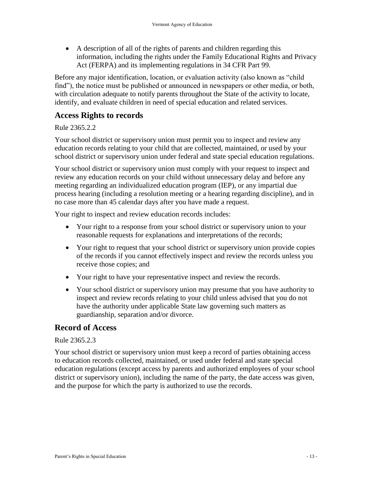A description of all of the rights of parents and children regarding this information, including the rights under the Family Educational Rights and Privacy Act (FERPA) and its implementing regulations in 34 CFR Part 99.

Before any major identification, location, or evaluation activity (also known as "child find"), the notice must be published or announced in newspapers or other media, or both, with circulation adequate to notify parents throughout the State of the activity to locate, identify, and evaluate children in need of special education and related services.

### <span id="page-12-0"></span>**Access Rights to records**

#### Rule 2365.2.2

Your school district or supervisory union must permit you to inspect and review any education records relating to your child that are collected, maintained, or used by your school district or supervisory union under federal and state special education regulations.

Your school district or supervisory union must comply with your request to inspect and review any education records on your child without unnecessary delay and before any meeting regarding an individualized education program (IEP), or any impartial due process hearing (including a resolution meeting or a hearing regarding discipline), and in no case more than 45 calendar days after you have made a request.

Your right to inspect and review education records includes:

- Your right to a response from your school district or supervisory union to your reasonable requests for explanations and interpretations of the records;
- Your right to request that your school district or supervisory union provide copies of the records if you cannot effectively inspect and review the records unless you receive those copies; and
- Your right to have your representative inspect and review the records.
- Your school district or supervisory union may presume that you have authority to inspect and review records relating to your child unless advised that you do not have the authority under applicable State law governing such matters as guardianship, separation and/or divorce.

### <span id="page-12-1"></span>**Record of Access**

#### Rule 2365.2.3

Your school district or supervisory union must keep a record of parties obtaining access to education records collected, maintained, or used under federal and state special education regulations (except access by parents and authorized employees of your school district or supervisory union), including the name of the party, the date access was given, and the purpose for which the party is authorized to use the records.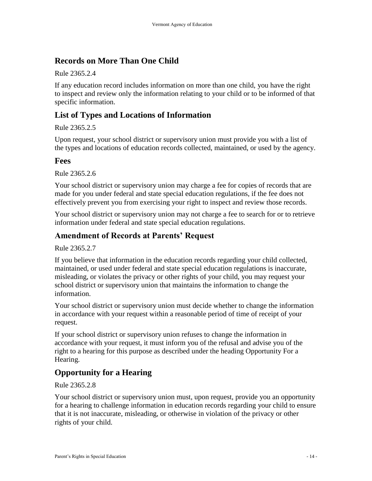### <span id="page-13-0"></span>**Records on More Than One Child**

Rule 2365.2.4

If any education record includes information on more than one child, you have the right to inspect and review only the information relating to your child or to be informed of that specific information.

### <span id="page-13-1"></span>**List of Types and Locations of Information**

Rule 2365.2.5

Upon request, your school district or supervisory union must provide you with a list of the types and locations of education records collected, maintained, or used by the agency.

#### <span id="page-13-2"></span>**Fees**

Rule 2365.2.6

Your school district or supervisory union may charge a fee for copies of records that are made for you under federal and state special education regulations, if the fee does not effectively prevent you from exercising your right to inspect and review those records.

Your school district or supervisory union may not charge a fee to search for or to retrieve information under federal and state special education regulations.

### <span id="page-13-3"></span>**Amendment of Records at Parents' Request**

Rule 2365.2.7

If you believe that information in the education records regarding your child collected, maintained, or used under federal and state special education regulations is inaccurate, misleading, or violates the privacy or other rights of your child, you may request your school district or supervisory union that maintains the information to change the information.

Your school district or supervisory union must decide whether to change the information in accordance with your request within a reasonable period of time of receipt of your request.

If your school district or supervisory union refuses to change the information in accordance with your request, it must inform you of the refusal and advise you of the right to a hearing for this purpose as described under the heading Opportunity For a Hearing.

### <span id="page-13-4"></span>**Opportunity for a Hearing**

Rule 2365.2.8

Your school district or supervisory union must, upon request, provide you an opportunity for a hearing to challenge information in education records regarding your child to ensure that it is not inaccurate, misleading, or otherwise in violation of the privacy or other rights of your child.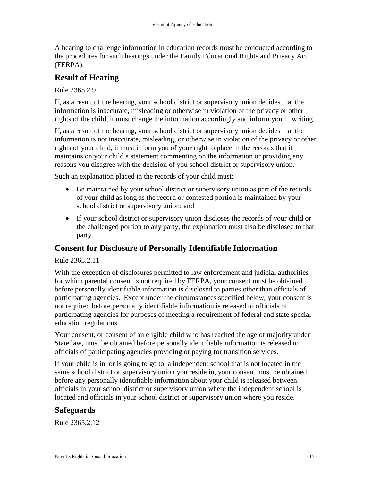A hearing to challenge information in education records must be conducted according to the procedures for such hearings under the Family Educational Rights and Privacy Act (FERPA).

### <span id="page-14-0"></span>**Result of Hearing**

Rule 2365.2.9

If, as a result of the hearing, your school district or supervisory union decides that the information is inaccurate, misleading or otherwise in violation of the privacy or other rights of the child, it must change the information accordingly and inform you in writing.

If, as a result of the hearing, your school district or supervisory union decides that the information is not inaccurate, misleading, or otherwise in violation of the privacy or other rights of your child, it must inform you of your right to place in the records that it maintains on your child a statement commenting on the information or providing any reasons you disagree with the decision of you school district or supervisory union.

Such an explanation placed in the records of your child must:

- Be maintained by your school district or supervisory union as part of the records of your child as long as the record or contested portion is maintained by your school district or supervisory union; and
- If your school district or supervisory union discloses the records of your child or the challenged portion to any party, the explanation must also be disclosed to that party.

### <span id="page-14-1"></span>**Consent for Disclosure of Personally Identifiable Information**

Rule 2365.2.11

With the exception of disclosures permitted to law enforcement and judicial authorities for which parental consent is not required by FERPA, your consent must be obtained before personally identifiable information is disclosed to parties other than officials of participating agencies. Except under the circumstances specified below, your consent is not required before personally identifiable information is released to officials of participating agencies for purposes of meeting a requirement of federal and state special education regulations.

Your consent, or consent of an eligible child who has reached the age of majority under State law, must be obtained before personally identifiable information is released to officials of participating agencies providing or paying for transition services.

If your child is in, or is going to go to, a independent school that is not located in the same school district or supervisory union you reside in, your consent must be obtained before any personally identifiable information about your child is released between officials in your school district or supervisory union where the independent school is located and officials in your school district or supervisory union where you reside.

### <span id="page-14-2"></span>**Safeguards**

Rule 2365.2.12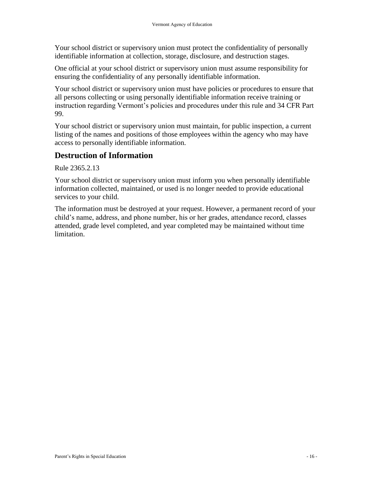Your school district or supervisory union must protect the confidentiality of personally identifiable information at collection, storage, disclosure, and destruction stages.

One official at your school district or supervisory union must assume responsibility for ensuring the confidentiality of any personally identifiable information.

Your school district or supervisory union must have policies or procedures to ensure that all persons collecting or using personally identifiable information receive training or instruction regarding Vermont's policies and procedures under this rule and 34 CFR Part 99.

Your school district or supervisory union must maintain, for public inspection, a current listing of the names and positions of those employees within the agency who may have access to personally identifiable information.

### <span id="page-15-0"></span>**Destruction of Information**

Rule 2365.2.13

Your school district or supervisory union must inform you when personally identifiable information collected, maintained, or used is no longer needed to provide educational services to your child.

The information must be destroyed at your request. However, a permanent record of your child's name, address, and phone number, his or her grades, attendance record, classes attended, grade level completed, and year completed may be maintained without time limitation.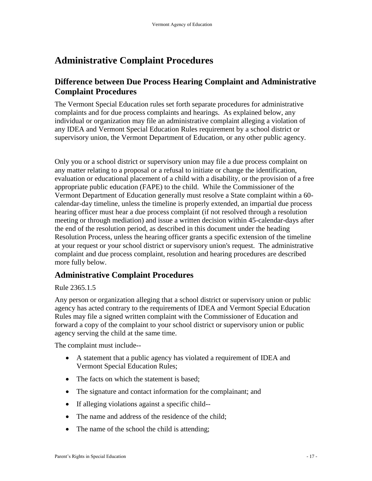# <span id="page-16-0"></span>**Administrative Complaint Procedures**

### <span id="page-16-1"></span>**Difference between Due Process Hearing Complaint and Administrative Complaint Procedures**

The Vermont Special Education rules set forth separate procedures for administrative complaints and for due process complaints and hearings. As explained below, any individual or organization may file an administrative complaint alleging a violation of any IDEA and Vermont Special Education Rules requirement by a school district or supervisory union, the Vermont Department of Education, or any other public agency.

Only you or a school district or supervisory union may file a due process complaint on any matter relating to a proposal or a refusal to initiate or change the identification, evaluation or educational placement of a child with a disability, or the provision of a free appropriate public education (FAPE) to the child. While the Commissioner of the Vermont Department of Education generally must resolve a State complaint within a 60 calendar-day timeline, unless the timeline is properly extended, an impartial due process hearing officer must hear a due process complaint (if not resolved through a resolution meeting or through mediation) and issue a written decision within 45-calendar-days after the end of the resolution period, as described in this document under the heading Resolution Process, unless the hearing officer grants a specific extension of the timeline at your request or your school district or supervisory union's request. The administrative complaint and due process complaint, resolution and hearing procedures are described more fully below.

### <span id="page-16-2"></span>**Administrative Complaint Procedures**

#### Rule 2365.1.5

Any person or organization alleging that a school district or supervisory union or public agency has acted contrary to the requirements of IDEA and Vermont Special Education Rules may file a signed written complaint with the Commissioner of Education and forward a copy of the complaint to your school district or supervisory union or public agency serving the child at the same time.

The complaint must include--

- A statement that a public agency has violated a requirement of IDEA and Vermont Special Education Rules;
- The facts on which the statement is based;
- The signature and contact information for the complainant; and
- If alleging violations against a specific child--
- The name and address of the residence of the child;
- The name of the school the child is attending;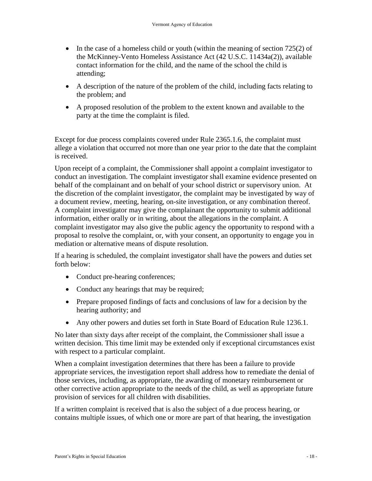- In the case of a homeless child or youth (within the meaning of section  $725(2)$  of the McKinney-Vento Homeless Assistance Act (42 U.S.C. 11434a(2)), available contact information for the child, and the name of the school the child is attending;
- A description of the nature of the problem of the child, including facts relating to the problem; and
- A proposed resolution of the problem to the extent known and available to the party at the time the complaint is filed.

Except for due process complaints covered under Rule 2365.1.6, the complaint must allege a violation that occurred not more than one year prior to the date that the complaint is received.

Upon receipt of a complaint, the Commissioner shall appoint a complaint investigator to conduct an investigation. The complaint investigator shall examine evidence presented on behalf of the complainant and on behalf of your school district or supervisory union. At the discretion of the complaint investigator, the complaint may be investigated by way of a document review, meeting, hearing, on-site investigation, or any combination thereof. A complaint investigator may give the complainant the opportunity to submit additional information, either orally or in writing, about the allegations in the complaint. A complaint investigator may also give the public agency the opportunity to respond with a proposal to resolve the complaint, or, with your consent, an opportunity to engage you in mediation or alternative means of dispute resolution.

If a hearing is scheduled, the complaint investigator shall have the powers and duties set forth below:

- Conduct pre-hearing conferences;
- Conduct any hearings that may be required;
- Prepare proposed findings of facts and conclusions of law for a decision by the hearing authority; and
- Any other powers and duties set forth in State Board of Education Rule 1236.1.

No later than sixty days after receipt of the complaint, the Commissioner shall issue a written decision. This time limit may be extended only if exceptional circumstances exist with respect to a particular complaint.

When a complaint investigation determines that there has been a failure to provide appropriate services, the investigation report shall address how to remediate the denial of those services, including, as appropriate, the awarding of monetary reimbursement or other corrective action appropriate to the needs of the child, as well as appropriate future provision of services for all children with disabilities.

If a written complaint is received that is also the subject of a due process hearing, or contains multiple issues, of which one or more are part of that hearing, the investigation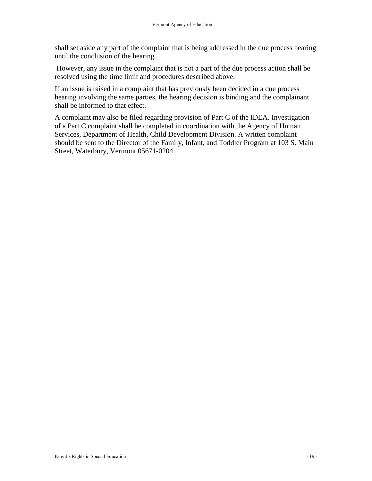shall set aside any part of the complaint that is being addressed in the due process hearing until the conclusion of the hearing.

However, any issue in the complaint that is not a part of the due process action shall be resolved using the time limit and procedures described above.

If an issue is raised in a complaint that has previously been decided in a due process hearing involving the same parties, the hearing decision is binding and the complainant shall be informed to that effect.

A complaint may also be filed regarding provision of Part C of the IDEA. Investigation of a Part C complaint shall be completed in coordination with the Agency of Human Services, Department of Health, Child Development Division. A written complaint should be sent to the Director of the Family, Infant, and Toddler Program at 103 S. Main Street, Waterbury, Vermont 05671-0204.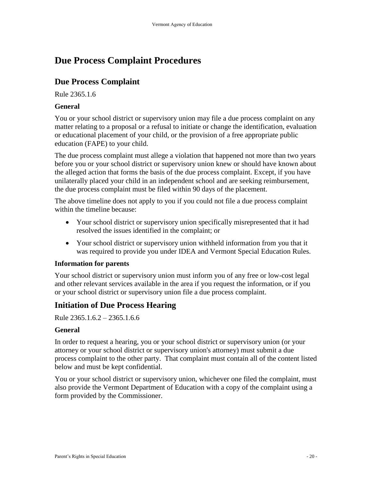# <span id="page-19-0"></span>**Due Process Complaint Procedures**

### <span id="page-19-1"></span>**Due Process Complaint**

Rule 2365.1.6

#### <span id="page-19-2"></span>**General**

You or your school district or supervisory union may file a due process complaint on any matter relating to a proposal or a refusal to initiate or change the identification, evaluation or educational placement of your child, or the provision of a free appropriate public education (FAPE) to your child.

The due process complaint must allege a violation that happened not more than two years before you or your school district or supervisory union knew or should have known about the alleged action that forms the basis of the due process complaint. Except, if you have unilaterally placed your child in an independent school and are seeking reimbursement, the due process complaint must be filed within 90 days of the placement.

The above timeline does not apply to you if you could not file a due process complaint within the timeline because:

- Your school district or supervisory union specifically misrepresented that it had resolved the issues identified in the complaint; or
- Your school district or supervisory union withheld information from you that it was required to provide you under IDEA and Vermont Special Education Rules.

#### <span id="page-19-3"></span>**Information for parents**

Your school district or supervisory union must inform you of any free or low-cost legal and other relevant services available in the area if you request the information, or if you or your school district or supervisory union file a due process complaint.

### <span id="page-19-4"></span>**Initiation of Due Process Hearing**

Rule 2365.1.6.2 – 2365.1.6.6

#### <span id="page-19-5"></span>**General**

In order to request a hearing, you or your school district or supervisory union (or your attorney or your school district or supervisory union's attorney) must submit a due process complaint to the other party. That complaint must contain all of the content listed below and must be kept confidential.

You or your school district or supervisory union, whichever one filed the complaint, must also provide the Vermont Department of Education with a copy of the complaint using a form provided by the Commissioner.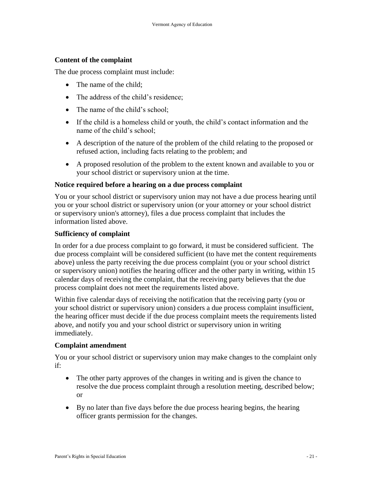#### <span id="page-20-0"></span>**Content of the complaint**

The due process complaint must include:

- The name of the child:
- The address of the child's residence;
- The name of the child's school;
- If the child is a homeless child or youth, the child's contact information and the name of the child's school;
- A description of the nature of the problem of the child relating to the proposed or refused action, including facts relating to the problem; and
- A proposed resolution of the problem to the extent known and available to you or your school district or supervisory union at the time.

#### <span id="page-20-1"></span>**Notice required before a hearing on a due process complaint**

You or your school district or supervisory union may not have a due process hearing until you or your school district or supervisory union (or your attorney or your school district or supervisory union's attorney), files a due process complaint that includes the information listed above.

#### <span id="page-20-2"></span>**Sufficiency of complaint**

In order for a due process complaint to go forward, it must be considered sufficient. The due process complaint will be considered sufficient (to have met the content requirements above) unless the party receiving the due process complaint (you or your school district or supervisory union) notifies the hearing officer and the other party in writing, within 15 calendar days of receiving the complaint, that the receiving party believes that the due process complaint does not meet the requirements listed above.

Within five calendar days of receiving the notification that the receiving party (you or your school district or supervisory union) considers a due process complaint insufficient, the hearing officer must decide if the due process complaint meets the requirements listed above, and notify you and your school district or supervisory union in writing immediately.

#### <span id="page-20-3"></span>**Complaint amendment**

You or your school district or supervisory union may make changes to the complaint only if:

- The other party approves of the changes in writing and is given the chance to resolve the due process complaint through a resolution meeting, described below; or
- By no later than five days before the due process hearing begins, the hearing officer grants permission for the changes.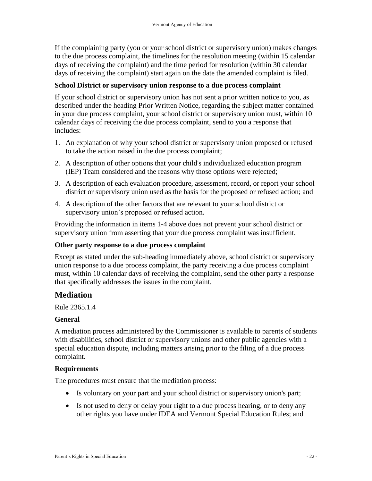If the complaining party (you or your school district or supervisory union) makes changes to the due process complaint, the timelines for the resolution meeting (within 15 calendar days of receiving the complaint) and the time period for resolution (within 30 calendar days of receiving the complaint) start again on the date the amended complaint is filed.

#### <span id="page-21-0"></span>**School District or supervisory union response to a due process complaint**

If your school district or supervisory union has not sent a prior written notice to you, as described under the heading Prior Written Notice, regarding the subject matter contained in your due process complaint, your school district or supervisory union must, within 10 calendar days of receiving the due process complaint, send to you a response that includes:

- 1. An explanation of why your school district or supervisory union proposed or refused to take the action raised in the due process complaint;
- 2. A description of other options that your child's individualized education program (IEP) Team considered and the reasons why those options were rejected;
- 3. A description of each evaluation procedure, assessment, record, or report your school district or supervisory union used as the basis for the proposed or refused action; and
- 4. A description of the other factors that are relevant to your school district or supervisory union's proposed or refused action.

Providing the information in items 1-4 above does not prevent your school district or supervisory union from asserting that your due process complaint was insufficient.

#### <span id="page-21-1"></span>**Other party response to a due process complaint**

Except as stated under the sub-heading immediately above, school district or supervisory union response to a due process complaint, the party receiving a due process complaint must, within 10 calendar days of receiving the complaint, send the other party a response that specifically addresses the issues in the complaint.

### <span id="page-21-2"></span>**Mediation**

Rule 2365.1.4

#### <span id="page-21-3"></span>**General**

A mediation process administered by the Commissioner is available to parents of students with disabilities, school district or supervisory unions and other public agencies with a special education dispute, including matters arising prior to the filing of a due process complaint.

#### <span id="page-21-4"></span>**Requirements**

The procedures must ensure that the mediation process:

- Is voluntary on your part and your school district or supervisory union's part;
- Is not used to deny or delay your right to a due process hearing, or to deny any other rights you have under IDEA and Vermont Special Education Rules; and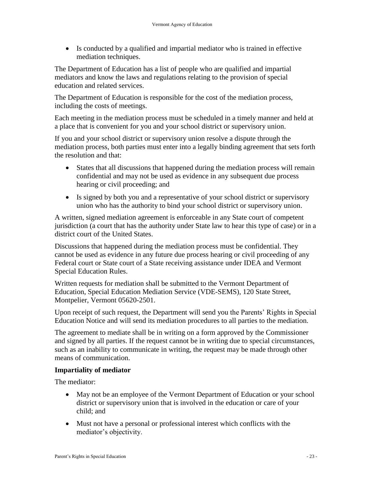Is conducted by a qualified and impartial mediator who is trained in effective mediation techniques.

The Department of Education has a list of people who are qualified and impartial mediators and know the laws and regulations relating to the provision of special education and related services.

The Department of Education is responsible for the cost of the mediation process, including the costs of meetings.

Each meeting in the mediation process must be scheduled in a timely manner and held at a place that is convenient for you and your school district or supervisory union.

If you and your school district or supervisory union resolve a dispute through the mediation process, both parties must enter into a legally binding agreement that sets forth the resolution and that:

- States that all discussions that happened during the mediation process will remain confidential and may not be used as evidence in any subsequent due process hearing or civil proceeding; and
- Is signed by both you and a representative of your school district or supervisory union who has the authority to bind your school district or supervisory union.

A written, signed mediation agreement is enforceable in any State court of competent jurisdiction (a court that has the authority under State law to hear this type of case) or in a district court of the United States.

Discussions that happened during the mediation process must be confidential. They cannot be used as evidence in any future due process hearing or civil proceeding of any Federal court or State court of a State receiving assistance under IDEA and Vermont Special Education Rules.

Written requests for mediation shall be submitted to the Vermont Department of Education, Special Education Mediation Service (VDE-SEMS), 120 State Street, Montpelier, Vermont 05620-2501.

Upon receipt of such request, the Department will send you the Parents' Rights in Special Education Notice and will send its mediation procedures to all parties to the mediation.

The agreement to mediate shall be in writing on a form approved by the Commissioner and signed by all parties. If the request cannot be in writing due to special circumstances, such as an inability to communicate in writing, the request may be made through other means of communication.

#### <span id="page-22-0"></span>**Impartiality of mediator**

The mediator:

- May not be an employee of the Vermont Department of Education or your school district or supervisory union that is involved in the education or care of your child; and
- Must not have a personal or professional interest which conflicts with the mediator's objectivity.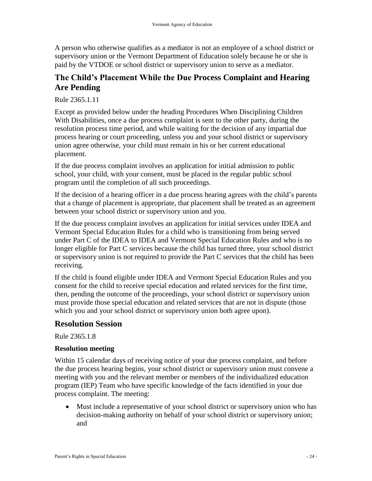A person who otherwise qualifies as a mediator is not an employee of a school district or supervisory union or the Vermont Department of Education solely because he or she is paid by the VTDOE or school district or supervisory union to serve as a mediator.

### <span id="page-23-0"></span>**The Child's Placement While the Due Process Complaint and Hearing Are Pending**

Rule 2365.1.11

Except as provided below under the heading Procedures When Disciplining Children With Disabilities, once a due process complaint is sent to the other party, during the resolution process time period, and while waiting for the decision of any impartial due process hearing or court proceeding, unless you and your school district or supervisory union agree otherwise, your child must remain in his or her current educational placement.

If the due process complaint involves an application for initial admission to public school, your child, with your consent, must be placed in the regular public school program until the completion of all such proceedings.

If the decision of a hearing officer in a due process hearing agrees with the child's parents that a change of placement is appropriate, that placement shall be treated as an agreement between your school district or supervisory union and you.

If the due process complaint involves an application for initial services under IDEA and Vermont Special Education Rules for a child who is transitioning from being served under Part C of the IDEA to IDEA and Vermont Special Education Rules and who is no longer eligible for Part C services because the child has turned three, your school district or supervisory union is not required to provide the Part C services that the child has been receiving.

If the child is found eligible under IDEA and Vermont Special Education Rules and you consent for the child to receive special education and related services for the first time, then, pending the outcome of the proceedings, your school district or supervisory union must provide those special education and related services that are not in dispute (those which you and your school district or supervisory union both agree upon).

### <span id="page-23-1"></span>**Resolution Session**

Rule 2365.1.8

#### <span id="page-23-2"></span>**Resolution meeting**

Within 15 calendar days of receiving notice of your due process complaint, and before the due process hearing begins, your school district or supervisory union must convene a meeting with you and the relevant member or members of the individualized education program (IEP) Team who have specific knowledge of the facts identified in your due process complaint. The meeting:

 Must include a representative of your school district or supervisory union who has decision-making authority on behalf of your school district or supervisory union; and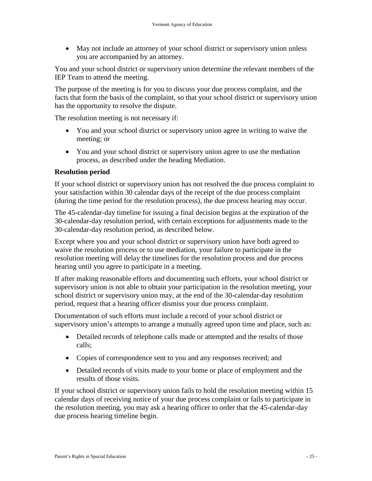May not include an attorney of your school district or supervisory union unless you are accompanied by an attorney.

You and your school district or supervisory union determine the relevant members of the IEP Team to attend the meeting.

The purpose of the meeting is for you to discuss your due process complaint, and the facts that form the basis of the complaint, so that your school district or supervisory union has the opportunity to resolve the dispute.

The resolution meeting is not necessary if:

- You and your school district or supervisory union agree in writing to waive the meeting; or
- You and your school district or supervisory union agree to use the mediation process, as described under the heading Mediation.

#### <span id="page-24-0"></span>**Resolution period**

If your school district or supervisory union has not resolved the due process complaint to your satisfaction within 30 calendar days of the receipt of the due process complaint (during the time period for the resolution process), the due process hearing may occur.

The 45-calendar-day timeline for issuing a final decision begins at the expiration of the 30-calendar-day resolution period, with certain exceptions for adjustments made to the 30-calendar-day resolution period, as described below.

Except where you and your school district or supervisory union have both agreed to waive the resolution process or to use mediation, your failure to participate in the resolution meeting will delay the timelines for the resolution process and due process hearing until you agree to participate in a meeting.

If after making reasonable efforts and documenting such efforts, your school district or supervisory union is not able to obtain your participation in the resolution meeting, your school district or supervisory union may, at the end of the 30-calendar-day resolution period, request that a hearing officer dismiss your due process complaint.

Documentation of such efforts must include a record of your school district or supervisory union's attempts to arrange a mutually agreed upon time and place, such as:

- Detailed records of telephone calls made or attempted and the results of those calls;
- Copies of correspondence sent to you and any responses received; and
- Detailed records of visits made to your home or place of employment and the results of those visits.

If your school district or supervisory union fails to hold the resolution meeting within 15 calendar days of receiving notice of your due process complaint or fails to participate in the resolution meeting, you may ask a hearing officer to order that the 45-calendar-day due process hearing timeline begin.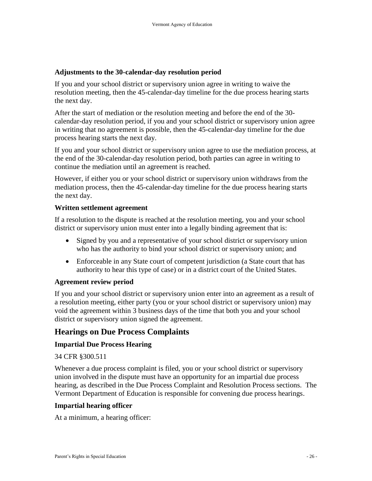#### <span id="page-25-0"></span>**Adjustments to the 30-calendar-day resolution period**

If you and your school district or supervisory union agree in writing to waive the resolution meeting, then the 45-calendar-day timeline for the due process hearing starts the next day.

After the start of mediation or the resolution meeting and before the end of the 30 calendar-day resolution period, if you and your school district or supervisory union agree in writing that no agreement is possible, then the 45-calendar-day timeline for the due process hearing starts the next day.

If you and your school district or supervisory union agree to use the mediation process, at the end of the 30-calendar-day resolution period, both parties can agree in writing to continue the mediation until an agreement is reached.

However, if either you or your school district or supervisory union withdraws from the mediation process, then the 45-calendar-day timeline for the due process hearing starts the next day.

#### <span id="page-25-1"></span>**Written settlement agreement**

If a resolution to the dispute is reached at the resolution meeting, you and your school district or supervisory union must enter into a legally binding agreement that is:

- Signed by you and a representative of your school district or supervisory union who has the authority to bind your school district or supervisory union; and
- Enforceable in any State court of competent jurisdiction (a State court that has authority to hear this type of case) or in a district court of the United States.

#### <span id="page-25-2"></span>**Agreement review period**

If you and your school district or supervisory union enter into an agreement as a result of a resolution meeting, either party (you or your school district or supervisory union) may void the agreement within 3 business days of the time that both you and your school district or supervisory union signed the agreement.

### <span id="page-25-3"></span>**Hearings on Due Process Complaints**

#### <span id="page-25-4"></span>**Impartial Due Process Hearing**

#### 34 CFR §300.511

Whenever a due process complaint is filed, you or your school district or supervisory union involved in the dispute must have an opportunity for an impartial due process hearing, as described in the Due Process Complaint and Resolution Process sections. The Vermont Department of Education is responsible for convening due process hearings.

#### <span id="page-25-5"></span>**Impartial hearing officer**

At a minimum, a hearing officer: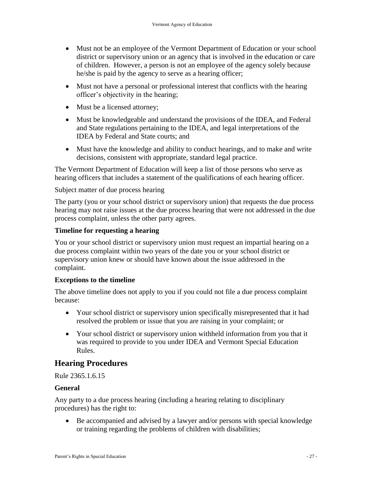- Must not be an employee of the Vermont Department of Education or your school district or supervisory union or an agency that is involved in the education or care of children. However, a person is not an employee of the agency solely because he/she is paid by the agency to serve as a hearing officer;
- Must not have a personal or professional interest that conflicts with the hearing officer's objectivity in the hearing;
- Must be a licensed attorney;
- Must be knowledgeable and understand the provisions of the IDEA, and Federal and State regulations pertaining to the IDEA, and legal interpretations of the IDEA by Federal and State courts; and
- Must have the knowledge and ability to conduct hearings, and to make and write decisions, consistent with appropriate, standard legal practice.

The Vermont Department of Education will keep a list of those persons who serve as hearing officers that includes a statement of the qualifications of each hearing officer.

Subject matter of due process hearing

The party (you or your school district or supervisory union) that requests the due process hearing may not raise issues at the due process hearing that were not addressed in the due process complaint, unless the other party agrees.

#### <span id="page-26-0"></span>**Timeline for requesting a hearing**

You or your school district or supervisory union must request an impartial hearing on a due process complaint within two years of the date you or your school district or supervisory union knew or should have known about the issue addressed in the complaint.

#### <span id="page-26-1"></span>**Exceptions to the timeline**

The above timeline does not apply to you if you could not file a due process complaint because:

- Your school district or supervisory union specifically misrepresented that it had resolved the problem or issue that you are raising in your complaint; or
- Your school district or supervisory union withheld information from you that it was required to provide to you under IDEA and Vermont Special Education Rules.

### <span id="page-26-2"></span>**Hearing Procedures**

Rule 2365.1.6.15

#### <span id="page-26-3"></span>**General**

Any party to a due process hearing (including a hearing relating to disciplinary procedures) has the right to:

 Be accompanied and advised by a lawyer and/or persons with special knowledge or training regarding the problems of children with disabilities;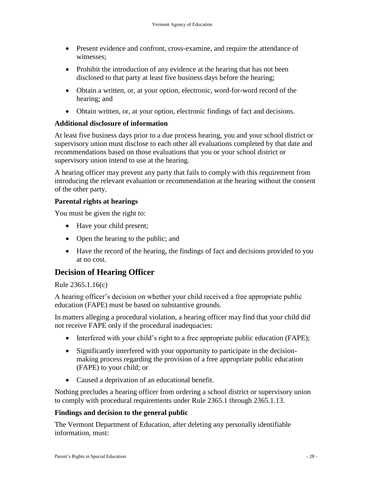- Present evidence and confront, cross-examine, and require the attendance of witnesses;
- Prohibit the introduction of any evidence at the hearing that has not been disclosed to that party at least five business days before the hearing;
- Obtain a written, or, at your option, electronic, word-for-word record of the hearing; and
- Obtain written, or, at your option, electronic findings of fact and decisions.

#### <span id="page-27-0"></span>**Additional disclosure of information**

At least five business days prior to a due process hearing, you and your school district or supervisory union must disclose to each other all evaluations completed by that date and recommendations based on those evaluations that you or your school district or supervisory union intend to use at the hearing.

A hearing officer may prevent any party that fails to comply with this requirement from introducing the relevant evaluation or recommendation at the hearing without the consent of the other party.

#### <span id="page-27-1"></span>**Parental rights at hearings**

You must be given the right to:

- Have your child present;
- Open the hearing to the public; and
- Have the record of the hearing, the findings of fact and decisions provided to you at no cost.

### <span id="page-27-2"></span>**Decision of Hearing Officer**

#### Rule 2365.1.16(c)

A hearing officer's decision on whether your child received a free appropriate public education (FAPE) must be based on substantive grounds.

In matters alleging a procedural violation, a hearing officer may find that your child did not receive FAPE only if the procedural inadequacies:

- Interfered with your child's right to a free appropriate public education (FAPE);
- Significantly interfered with your opportunity to participate in the decisionmaking process regarding the provision of a free appropriate public education (FAPE) to your child; or
- Caused a deprivation of an educational benefit.

Nothing precludes a hearing officer from ordering a school district or supervisory union to comply with procedural requirements under Rule 2365.1 through 2365.1.13.

#### <span id="page-27-3"></span>**Findings and decision to the general public**

The Vermont Department of Education, after deleting any personally identifiable information, must: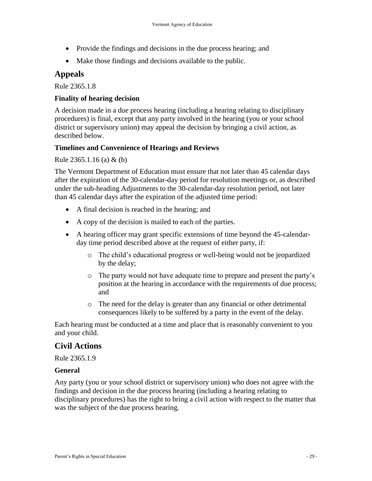- Provide the findings and decisions in the due process hearing; and
- Make those findings and decisions available to the public.

#### <span id="page-28-0"></span>**Appeals**

Rule 2365.1.8

#### <span id="page-28-1"></span>**Finality of hearing decision**

A decision made in a due process hearing (including a hearing relating to disciplinary procedures) is final, except that any party involved in the hearing (you or your school district or supervisory union) may appeal the decision by bringing a civil action, as described below.

#### <span id="page-28-2"></span>**Timelines and Convenience of Hearings and Reviews**

#### Rule 2365.1.16 (a) & (b)

The Vermont Department of Education must ensure that not later than 45 calendar days after the expiration of the 30-calendar-day period for resolution meetings or, as described under the sub-heading Adjustments to the 30-calendar-day resolution period, not later than 45 calendar days after the expiration of the adjusted time period:

- A final decision is reached in the hearing; and
- A copy of the decision is mailed to each of the parties.
- A hearing officer may grant specific extensions of time beyond the 45-calendarday time period described above at the request of either party, if:
	- o The child's educational progress or well-being would not be jeopardized by the delay;
	- o The party would not have adequate time to prepare and present the party's position at the hearing in accordance with the requirements of due process; and
	- o The need for the delay is greater than any financial or other detrimental consequences likely to be suffered by a party in the event of the delay.

Each hearing must be conducted at a time and place that is reasonably convenient to you and your child.

### <span id="page-28-3"></span>**Civil Actions**

Rule 2365.1.9

#### <span id="page-28-4"></span>**General**

Any party (you or your school district or supervisory union) who does not agree with the findings and decision in the due process hearing (including a hearing relating to disciplinary procedures) has the right to bring a civil action with respect to the matter that was the subject of the due process hearing.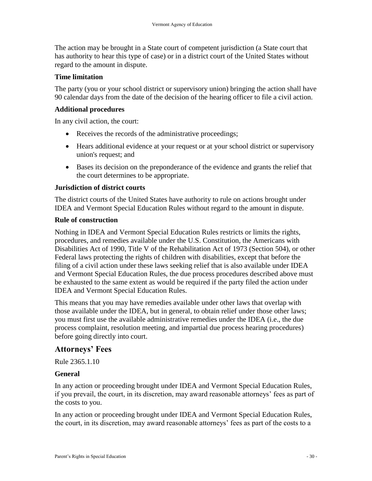The action may be brought in a State court of competent jurisdiction (a State court that has authority to hear this type of case) or in a district court of the United States without regard to the amount in dispute.

#### <span id="page-29-0"></span>**Time limitation**

The party (you or your school district or supervisory union) bringing the action shall have 90 calendar days from the date of the decision of the hearing officer to file a civil action.

#### <span id="page-29-1"></span>**Additional procedures**

In any civil action, the court:

- Receives the records of the administrative proceedings;
- Hears additional evidence at your request or at your school district or supervisory union's request; and
- Bases its decision on the preponderance of the evidence and grants the relief that the court determines to be appropriate.

#### <span id="page-29-2"></span>**Jurisdiction of district courts**

The district courts of the United States have authority to rule on actions brought under IDEA and Vermont Special Education Rules without regard to the amount in dispute.

#### <span id="page-29-3"></span>**Rule of construction**

Nothing in IDEA and Vermont Special Education Rules restricts or limits the rights, procedures, and remedies available under the U.S. Constitution, the Americans with Disabilities Act of 1990, Title V of the Rehabilitation Act of 1973 (Section 504), or other Federal laws protecting the rights of children with disabilities, except that before the filing of a civil action under these laws seeking relief that is also available under IDEA and Vermont Special Education Rules, the due process procedures described above must be exhausted to the same extent as would be required if the party filed the action under IDEA and Vermont Special Education Rules.

This means that you may have remedies available under other laws that overlap with those available under the IDEA, but in general, to obtain relief under those other laws; you must first use the available administrative remedies under the IDEA (i.e., the due process complaint, resolution meeting, and impartial due process hearing procedures) before going directly into court.

### <span id="page-29-4"></span>**Attorneys' Fees**

Rule 2365.1.10

#### <span id="page-29-5"></span>**General**

In any action or proceeding brought under IDEA and Vermont Special Education Rules, if you prevail, the court, in its discretion, may award reasonable attorneys' fees as part of the costs to you.

In any action or proceeding brought under IDEA and Vermont Special Education Rules, the court, in its discretion, may award reasonable attorneys' fees as part of the costs to a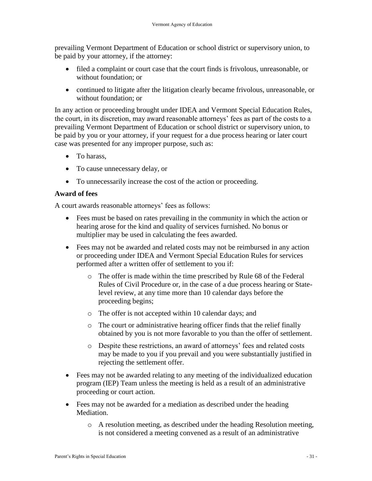prevailing Vermont Department of Education or school district or supervisory union, to be paid by your attorney, if the attorney:

- filed a complaint or court case that the court finds is frivolous, unreasonable, or without foundation; or
- continued to litigate after the litigation clearly became frivolous, unreasonable, or without foundation; or

In any action or proceeding brought under IDEA and Vermont Special Education Rules, the court, in its discretion, may award reasonable attorneys' fees as part of the costs to a prevailing Vermont Department of Education or school district or supervisory union, to be paid by you or your attorney, if your request for a due process hearing or later court case was presented for any improper purpose, such as:

- To harass,
- To cause unnecessary delay, or
- To unnecessarily increase the cost of the action or proceeding.

### <span id="page-30-0"></span>**Award of fees**

A court awards reasonable attorneys' fees as follows:

- Fees must be based on rates prevailing in the community in which the action or hearing arose for the kind and quality of services furnished. No bonus or multiplier may be used in calculating the fees awarded.
- Fees may not be awarded and related costs may not be reimbursed in any action or proceeding under IDEA and Vermont Special Education Rules for services performed after a written offer of settlement to you if:
	- o The offer is made within the time prescribed by Rule 68 of the Federal Rules of Civil Procedure or, in the case of a due process hearing or Statelevel review, at any time more than 10 calendar days before the proceeding begins;
	- o The offer is not accepted within 10 calendar days; and
	- o The court or administrative hearing officer finds that the relief finally obtained by you is not more favorable to you than the offer of settlement.
	- o Despite these restrictions, an award of attorneys' fees and related costs may be made to you if you prevail and you were substantially justified in rejecting the settlement offer.
- Fees may not be awarded relating to any meeting of the individualized education program (IEP) Team unless the meeting is held as a result of an administrative proceeding or court action.
- Fees may not be awarded for a mediation as described under the heading Mediation.
	- o A resolution meeting, as described under the heading Resolution meeting, is not considered a meeting convened as a result of an administrative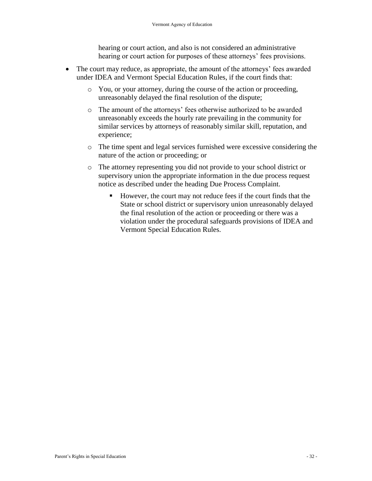hearing or court action, and also is not considered an administrative hearing or court action for purposes of these attorneys' fees provisions.

- The court may reduce, as appropriate, the amount of the attorneys' fees awarded under IDEA and Vermont Special Education Rules, if the court finds that:
	- o You, or your attorney, during the course of the action or proceeding, unreasonably delayed the final resolution of the dispute;
	- o The amount of the attorneys' fees otherwise authorized to be awarded unreasonably exceeds the hourly rate prevailing in the community for similar services by attorneys of reasonably similar skill, reputation, and experience;
	- o The time spent and legal services furnished were excessive considering the nature of the action or proceeding; or
	- o The attorney representing you did not provide to your school district or supervisory union the appropriate information in the due process request notice as described under the heading Due Process Complaint.
		- However, the court may not reduce fees if the court finds that the State or school district or supervisory union unreasonably delayed the final resolution of the action or proceeding or there was a violation under the procedural safeguards provisions of IDEA and Vermont Special Education Rules.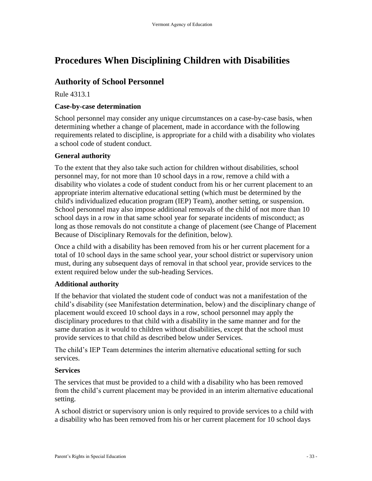# <span id="page-32-0"></span>**Procedures When Disciplining Children with Disabilities**

### <span id="page-32-1"></span>**Authority of School Personnel**

Rule 4313.1

#### <span id="page-32-2"></span>**Case-by-case determination**

School personnel may consider any unique circumstances on a case-by-case basis, when determining whether a change of placement, made in accordance with the following requirements related to discipline, is appropriate for a child with a disability who violates a school code of student conduct.

#### <span id="page-32-3"></span>**General authority**

To the extent that they also take such action for children without disabilities, school personnel may, for not more than 10 school days in a row, remove a child with a disability who violates a code of student conduct from his or her current placement to an appropriate interim alternative educational setting (which must be determined by the child's individualized education program (IEP) Team), another setting, or suspension. School personnel may also impose additional removals of the child of not more than 10 school days in a row in that same school year for separate incidents of misconduct; as long as those removals do not constitute a change of placement (see Change of Placement Because of Disciplinary Removals for the definition, below).

Once a child with a disability has been removed from his or her current placement for a total of 10 school days in the same school year, your school district or supervisory union must, during any subsequent days of removal in that school year, provide services to the extent required below under the sub-heading Services.

#### <span id="page-32-4"></span>**Additional authority**

If the behavior that violated the student code of conduct was not a manifestation of the child's disability (see Manifestation determination, below) and the disciplinary change of placement would exceed 10 school days in a row, school personnel may apply the disciplinary procedures to that child with a disability in the same manner and for the same duration as it would to children without disabilities, except that the school must provide services to that child as described below under Services.

The child's IEP Team determines the interim alternative educational setting for such services.

#### <span id="page-32-5"></span>**Services**

The services that must be provided to a child with a disability who has been removed from the child's current placement may be provided in an interim alternative educational setting.

A school district or supervisory union is only required to provide services to a child with a disability who has been removed from his or her current placement for 10 school days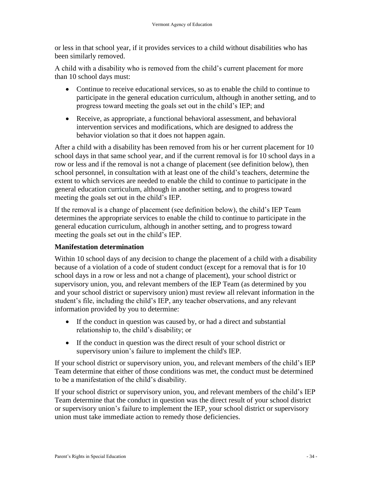or less in that school year, if it provides services to a child without disabilities who has been similarly removed.

A child with a disability who is removed from the child's current placement for more than 10 school days must:

- Continue to receive educational services, so as to enable the child to continue to participate in the general education curriculum, although in another setting, and to progress toward meeting the goals set out in the child's IEP; and
- Receive, as appropriate, a functional behavioral assessment, and behavioral intervention services and modifications, which are designed to address the behavior violation so that it does not happen again.

After a child with a disability has been removed from his or her current placement for 10 school days in that same school year, and if the current removal is for 10 school days in a row or less and if the removal is not a change of placement (see definition below), then school personnel, in consultation with at least one of the child's teachers, determine the extent to which services are needed to enable the child to continue to participate in the general education curriculum, although in another setting, and to progress toward meeting the goals set out in the child's IEP.

If the removal is a change of placement (see definition below), the child's IEP Team determines the appropriate services to enable the child to continue to participate in the general education curriculum, although in another setting, and to progress toward meeting the goals set out in the child's IEP.

#### <span id="page-33-0"></span>**Manifestation determination**

Within 10 school days of any decision to change the placement of a child with a disability because of a violation of a code of student conduct (except for a removal that is for 10 school days in a row or less and not a change of placement), your school district or supervisory union, you, and relevant members of the IEP Team (as determined by you and your school district or supervisory union) must review all relevant information in the student's file, including the child's IEP, any teacher observations, and any relevant information provided by you to determine:

- If the conduct in question was caused by, or had a direct and substantial relationship to, the child's disability; or
- If the conduct in question was the direct result of your school district or supervisory union's failure to implement the child's IEP.

If your school district or supervisory union, you, and relevant members of the child's IEP Team determine that either of those conditions was met, the conduct must be determined to be a manifestation of the child's disability.

If your school district or supervisory union, you, and relevant members of the child's IEP Team determine that the conduct in question was the direct result of your school district or supervisory union's failure to implement the IEP, your school district or supervisory union must take immediate action to remedy those deficiencies.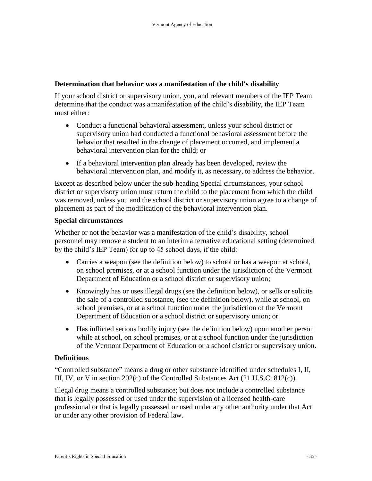#### <span id="page-34-0"></span>**Determination that behavior was a manifestation of the child's disability**

If your school district or supervisory union, you, and relevant members of the IEP Team determine that the conduct was a manifestation of the child's disability, the IEP Team must either:

- Conduct a functional behavioral assessment, unless your school district or supervisory union had conducted a functional behavioral assessment before the behavior that resulted in the change of placement occurred, and implement a behavioral intervention plan for the child; or
- If a behavioral intervention plan already has been developed, review the behavioral intervention plan, and modify it, as necessary, to address the behavior.

Except as described below under the sub-heading Special circumstances, your school district or supervisory union must return the child to the placement from which the child was removed, unless you and the school district or supervisory union agree to a change of placement as part of the modification of the behavioral intervention plan.

#### <span id="page-34-1"></span>**Special circumstances**

Whether or not the behavior was a manifestation of the child's disability, school personnel may remove a student to an interim alternative educational setting (determined by the child's IEP Team) for up to 45 school days, if the child:

- Carries a weapon (see the definition below) to school or has a weapon at school, on school premises, or at a school function under the jurisdiction of the Vermont Department of Education or a school district or supervisory union;
- Knowingly has or uses illegal drugs (see the definition below), or sells or solicits the sale of a controlled substance, (see the definition below), while at school, on school premises, or at a school function under the jurisdiction of the Vermont Department of Education or a school district or supervisory union; or
- Has inflicted serious bodily injury (see the definition below) upon another person while at school, on school premises, or at a school function under the jurisdiction of the Vermont Department of Education or a school district or supervisory union.

#### <span id="page-34-2"></span>**Definitions**

"Controlled substance" means a drug or other substance identified under schedules I, II, III, IV, or V in section 202(c) of the Controlled Substances Act (21 U.S.C. 812(c)).

Illegal drug means a controlled substance; but does not include a controlled substance that is legally possessed or used under the supervision of a licensed health-care professional or that is legally possessed or used under any other authority under that Act or under any other provision of Federal law.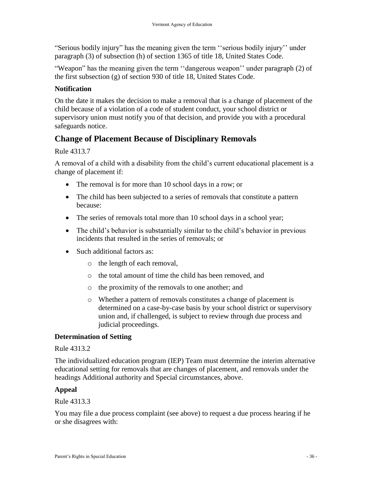"Serious bodily injury" has the meaning given the term ''serious bodily injury'' under paragraph (3) of subsection (h) of section 1365 of title 18, United States Code.

"Weapon" has the meaning given the term ''dangerous weapon'' under paragraph (2) of the first subsection (g) of section 930 of title 18, United States Code.

### <span id="page-35-0"></span>**Notification**

On the date it makes the decision to make a removal that is a change of placement of the child because of a violation of a code of student conduct, your school district or supervisory union must notify you of that decision, and provide you with a procedural safeguards notice.

### <span id="page-35-1"></span>**Change of Placement Because of Disciplinary Removals**

#### Rule 4313.7

A removal of a child with a disability from the child's current educational placement is a change of placement if:

- The removal is for more than 10 school days in a row; or
- The child has been subjected to a series of removals that constitute a pattern because:
- The series of removals total more than 10 school days in a school year;
- The child's behavior is substantially similar to the child's behavior in previous incidents that resulted in the series of removals; or
- Such additional factors as:
	- o the length of each removal,
	- o the total amount of time the child has been removed, and
	- o the proximity of the removals to one another; and
	- o Whether a pattern of removals constitutes a change of placement is determined on a case-by-case basis by your school district or supervisory union and, if challenged, is subject to review through due process and judicial proceedings.

#### <span id="page-35-2"></span>**Determination of Setting**

#### Rule 4313.2

The individualized education program (IEP) Team must determine the interim alternative educational setting for removals that are changes of placement, and removals under the headings Additional authority and Special circumstances, above.

#### <span id="page-35-3"></span>**Appeal**

#### Rule 4313.3

You may file a due process complaint (see above) to request a due process hearing if he or she disagrees with: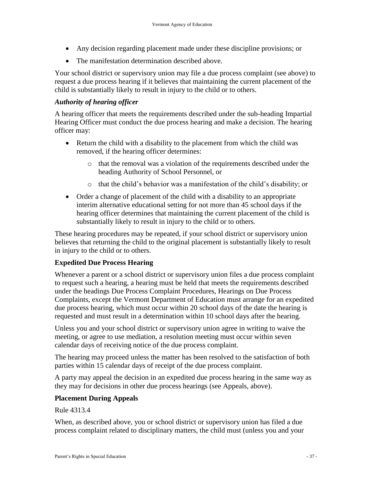- Any decision regarding placement made under these discipline provisions; or
- The manifestation determination described above.

Your school district or supervisory union may file a due process complaint (see above) to request a due process hearing if it believes that maintaining the current placement of the child is substantially likely to result in injury to the child or to others.

#### <span id="page-36-0"></span>*Authority of hearing officer*

A hearing officer that meets the requirements described under the sub-heading Impartial Hearing Officer must conduct the due process hearing and make a decision. The hearing officer may:

- Return the child with a disability to the placement from which the child was removed, if the hearing officer determines:
	- o that the removal was a violation of the requirements described under the heading Authority of School Personnel, or
	- o that the child's behavior was a manifestation of the child's disability; or
- Order a change of placement of the child with a disability to an appropriate interim alternative educational setting for not more than 45 school days if the hearing officer determines that maintaining the current placement of the child is substantially likely to result in injury to the child or to others.

These hearing procedures may be repeated, if your school district or supervisory union believes that returning the child to the original placement is substantially likely to result in injury to the child or to others.

#### <span id="page-36-1"></span>**Expedited Due Process Hearing**

Whenever a parent or a school district or supervisory union files a due process complaint to request such a hearing, a hearing must be held that meets the requirements described under the headings Due Process Complaint Procedures, Hearings on Due Process Complaints, except the Vermont Department of Education must arrange for an expedited due process hearing, which must occur within 20 school days of the date the hearing is requested and must result in a determination within 10 school days after the hearing.

Unless you and your school district or supervisory union agree in writing to waive the meeting, or agree to use mediation, a resolution meeting must occur within seven calendar days of receiving notice of the due process complaint.

The hearing may proceed unless the matter has been resolved to the satisfaction of both parties within 15 calendar days of receipt of the due process complaint.

A party may appeal the decision in an expedited due process hearing in the same way as they may for decisions in other due process hearings (see Appeals, above).

#### <span id="page-36-2"></span>**Placement During Appeals**

#### Rule 4313.4

When, as described above, you or school district or supervisory union has filed a due process complaint related to disciplinary matters, the child must (unless you and your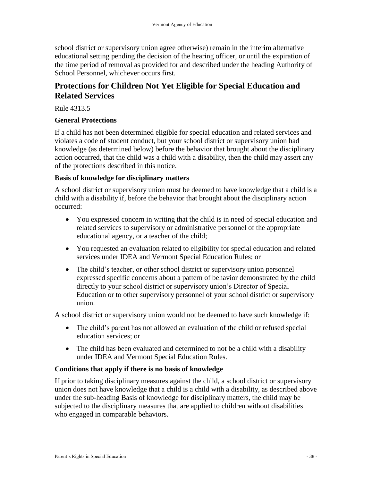school district or supervisory union agree otherwise) remain in the interim alternative educational setting pending the decision of the hearing officer, or until the expiration of the time period of removal as provided for and described under the heading Authority of School Personnel, whichever occurs first.

### <span id="page-37-0"></span>**Protections for Children Not Yet Eligible for Special Education and Related Services**

Rule 4313.5

#### <span id="page-37-1"></span>**General Protections**

If a child has not been determined eligible for special education and related services and violates a code of student conduct, but your school district or supervisory union had knowledge (as determined below) before the behavior that brought about the disciplinary action occurred, that the child was a child with a disability, then the child may assert any of the protections described in this notice.

#### <span id="page-37-2"></span>**Basis of knowledge for disciplinary matters**

A school district or supervisory union must be deemed to have knowledge that a child is a child with a disability if, before the behavior that brought about the disciplinary action occurred:

- You expressed concern in writing that the child is in need of special education and related services to supervisory or administrative personnel of the appropriate educational agency, or a teacher of the child;
- You requested an evaluation related to eligibility for special education and related services under IDEA and Vermont Special Education Rules; or
- The child's teacher, or other school district or supervisory union personnel expressed specific concerns about a pattern of behavior demonstrated by the child directly to your school district or supervisory union's Director of Special Education or to other supervisory personnel of your school district or supervisory union.

A school district or supervisory union would not be deemed to have such knowledge if:

- The child's parent has not allowed an evaluation of the child or refused special education services; or
- The child has been evaluated and determined to not be a child with a disability under IDEA and Vermont Special Education Rules.

### <span id="page-37-3"></span>**Conditions that apply if there is no basis of knowledge**

If prior to taking disciplinary measures against the child, a school district or supervisory union does not have knowledge that a child is a child with a disability, as described above under the sub-heading Basis of knowledge for disciplinary matters, the child may be subjected to the disciplinary measures that are applied to children without disabilities who engaged in comparable behaviors.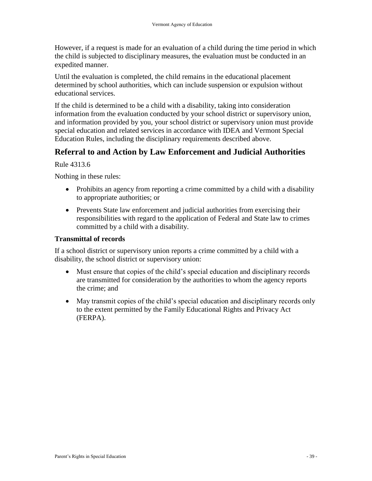However, if a request is made for an evaluation of a child during the time period in which the child is subjected to disciplinary measures, the evaluation must be conducted in an expedited manner.

Until the evaluation is completed, the child remains in the educational placement determined by school authorities, which can include suspension or expulsion without educational services.

If the child is determined to be a child with a disability, taking into consideration information from the evaluation conducted by your school district or supervisory union, and information provided by you, your school district or supervisory union must provide special education and related services in accordance with IDEA and Vermont Special Education Rules, including the disciplinary requirements described above.

#### <span id="page-38-0"></span>**Referral to and Action by Law Enforcement and Judicial Authorities**

Rule 4313.6

Nothing in these rules:

- Prohibits an agency from reporting a crime committed by a child with a disability to appropriate authorities; or
- Prevents State law enforcement and judicial authorities from exercising their responsibilities with regard to the application of Federal and State law to crimes committed by a child with a disability.

#### <span id="page-38-1"></span>**Transmittal of records**

If a school district or supervisory union reports a crime committed by a child with a disability, the school district or supervisory union:

- Must ensure that copies of the child's special education and disciplinary records are transmitted for consideration by the authorities to whom the agency reports the crime; and
- May transmit copies of the child's special education and disciplinary records only to the extent permitted by the Family Educational Rights and Privacy Act (FERPA).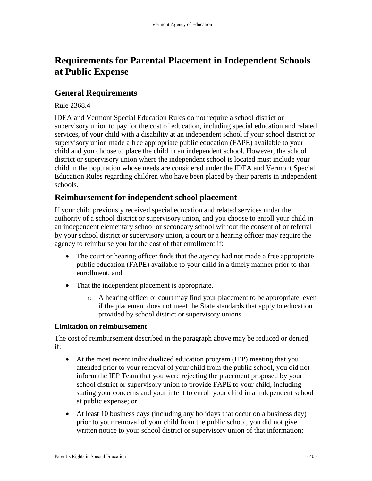## <span id="page-39-0"></span>**Requirements for Parental Placement in Independent Schools at Public Expense**

### <span id="page-39-1"></span>**General Requirements**

#### Rule 2368.4

IDEA and Vermont Special Education Rules do not require a school district or supervisory union to pay for the cost of education, including special education and related services, of your child with a disability at an independent school if your school district or supervisory union made a free appropriate public education (FAPE) available to your child and you choose to place the child in an independent school. However, the school district or supervisory union where the independent school is located must include your child in the population whose needs are considered under the IDEA and Vermont Special Education Rules regarding children who have been placed by their parents in independent schools.

### <span id="page-39-2"></span>**Reimbursement for independent school placement**

If your child previously received special education and related services under the authority of a school district or supervisory union, and you choose to enroll your child in an independent elementary school or secondary school without the consent of or referral by your school district or supervisory union, a court or a hearing officer may require the agency to reimburse you for the cost of that enrollment if:

- The court or hearing officer finds that the agency had not made a free appropriate public education (FAPE) available to your child in a timely manner prior to that enrollment, and
- That the independent placement is appropriate.
	- o A hearing officer or court may find your placement to be appropriate, even if the placement does not meet the State standards that apply to education provided by school district or supervisory unions.

#### <span id="page-39-3"></span>**Limitation on reimbursement**

The cost of reimbursement described in the paragraph above may be reduced or denied, if:

- At the most recent individualized education program (IEP) meeting that you attended prior to your removal of your child from the public school, you did not inform the IEP Team that you were rejecting the placement proposed by your school district or supervisory union to provide FAPE to your child, including stating your concerns and your intent to enroll your child in a independent school at public expense; or
- At least 10 business days (including any holidays that occur on a business day) prior to your removal of your child from the public school, you did not give written notice to your school district or supervisory union of that information;